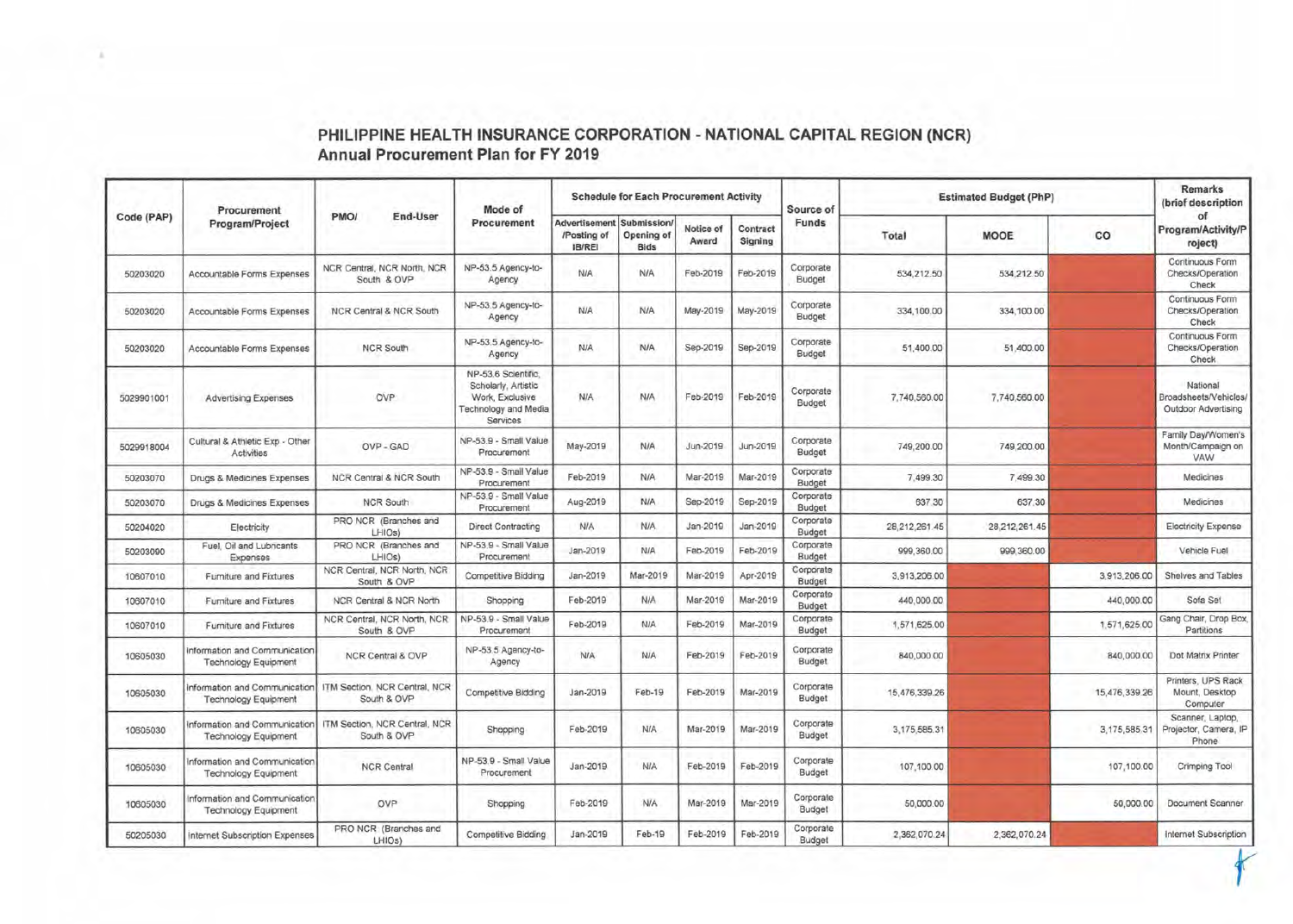|            | Procurement<br>Program/Project                               | PMO/<br>End-User                             |                                                                                                   |                                               | <b>Schedule for Each Procurement Activity</b> |                    |                     | Source of           | <b>Estimated Budget (PhP)</b> | Remarks<br>(brief description |               |                                                          |
|------------|--------------------------------------------------------------|----------------------------------------------|---------------------------------------------------------------------------------------------------|-----------------------------------------------|-----------------------------------------------|--------------------|---------------------|---------------------|-------------------------------|-------------------------------|---------------|----------------------------------------------------------|
| Code (PAP) |                                                              |                                              | Mode of<br>Procurement                                                                            | Advertisement<br>/Posting of<br><b>IB/REI</b> | Submission<br>Opening of<br><b>Bids</b>       | Notice of<br>Award | Contract<br>Signing | Funds               | Total                         | <b>MOOE</b>                   | CO            | of<br>Program/Activity/P<br>roject)                      |
| 50203020   | Accountable Forms Expenses                                   | NCR Central, NCR North, NCR<br>South & OVP   | NP-53.5 Agency-to-<br>Agency                                                                      | N/A                                           | <b>N/A</b>                                    | Feb-2019           | Feb-2019            | Corporate<br>Budget | 534,212.50                    | 534,212.50                    |               | Continuous Form<br>Checks/Operation<br>Check             |
| 50203020   | Accountable Forms Expenses                                   | <b>NCR Central &amp; NCR South</b>           | NP-53.5 Agency-to-<br>Agency                                                                      | <b>N/A</b>                                    | <b>N/A</b>                                    | May-2019           | May-2019            | Corporate<br>Budget | 334,100.00                    | 334,100.00                    |               | Continuous Form<br>Checks/Operation<br>Check             |
| 50203020   | Accountable Forms Expenses                                   | <b>NCR South</b>                             | NP-53.5 Agency-to-<br>Agency                                                                      | <b>N/A</b>                                    | <b>N/A</b>                                    | Sep-2019           | Sep-2019            | Corporate<br>Budget | 51,400.00                     | 51,400.00                     |               | Continuous Form<br>Checks/Operation<br>Check             |
| 5029901001 | <b>Advertising Expenses</b>                                  | OVP                                          | NP-53.6 Scientific,<br>Scholarly, Artistic<br>Work, Exclusive<br>Technology and Media<br>Services | N/A                                           | <b>N/A</b>                                    | Feb-2019           | Feb-2019            | Corporate<br>Budget | 7,740,560.00                  | 7,740,560.00                  |               | National<br>Broadsheets/Vehicles/<br>Outdoor Advertising |
| 5029918004 | Cultural & Athletic Exp - Other<br>Activities                | OVP - GAD                                    | NP-53.9 - Small Value<br>Procurement                                                              | May-2019                                      | N/A                                           | Jun-2019           | Jun-2019            | Corporate<br>Budget | 749,200.00                    | 749,200.00                    |               | Family Day/Women's<br>Month/Campaign on<br>VAW           |
| 50203070   | Drugs & Medicines Expenses                                   | NCR Central & NCR South                      | NP-53.9 - Small Value<br>Procurement                                                              | Feb-2019                                      | N/A                                           | Mar-2019           | Mar-2019            | Corporate<br>Budget | 7,499.30                      | 7,499.30                      |               | Medicines                                                |
| 50203070   | Drugs & Medicines Expenses                                   | <b>NCR South</b>                             | NP-53.9 - Small Value<br>Procurement                                                              | Aug-2019                                      | <b>N/A</b>                                    | Sep-2019           | Sep-2019            | Corporate<br>Budget | 637.30                        | 637.30                        |               | Medicines                                                |
| 50204020   | Electricity                                                  | PRO NCR (Branches and<br>LHIOs)              | Direct Contracting                                                                                | N/A                                           | N/A                                           | Jan-2019           | Jan-2019            | Corporate<br>Budget | 28,212,261.45                 | 28,212,261.45                 |               | Electricity Expense                                      |
| 50203090   | Fuel, Oil and Lubricants<br>Expenses                         | PRO NCR (Branches and<br>LHIOs)              | NP-53.9 - Small Value<br>Procurement                                                              | Jan-2019                                      | N/A                                           | Feb-2019           | Feb-2019            | Corporate<br>Budget | 999,360.00                    | 999,360.00                    |               | Vehicle Fuel                                             |
| 10607010   | Furniture and Fixtures                                       | NCR Central, NCR North, NCR<br>South & OVP   | <b>Competitive Bidding</b>                                                                        | Jan-2019                                      | Mar-2019                                      | Mar-2019           | Apr-2019            | Corporate<br>Budget | 3,913,206.00                  |                               | 3,913,206.00  | Shelves and Tables                                       |
| 10607010   | Furniture and Fixtures                                       | NCR Central & NCR North                      | Shopping                                                                                          | Feb-2019                                      | N/A                                           | Mar-2019           | Mar-2019            | Corporate<br>Budget | 440.000.00                    |                               | 440,000.00    | Sofa Set                                                 |
| 10607010   | Furniture and Fixtures                                       | NCR Central, NCR North, NCR<br>South & OVP   | NP-53.9 - Small Value<br>Procurement                                                              | Feb-2019                                      | <b>NIA</b>                                    | Feb-2019           | Mar-2019            | Corporate<br>Budget | 1,571,625.00                  |                               | 1,571,625.00  | Gang Chair, Drop Box<br>Partitions                       |
| 10605030   | Information and Communication<br><b>Technology Equipment</b> | NCR Central & OVP                            | NP-53.5 Agency-to-<br>Agency                                                                      | N/A                                           | <b>N/A</b>                                    | Feb-2019           | Feb-2019            | Corporate<br>Budget | 840,000.00                    |                               | 840,000.00    | Dot Matrix Printer                                       |
| 10605030   | Information and Communication<br><b>Technology Equipment</b> | ITM Section, NCR Central, NCR<br>South & OVP | Competitive Bidding                                                                               | Jan-2019                                      | Feb-19                                        | Feb-2019           | Mar-2019            | Corporate<br>Budget | 15,476,339.26                 |                               | 15,476,339.26 | Printers, UPS Rack<br>Mount, Desktop<br>Computer         |
| 10605030   | Information and Communication<br><b>Technology Equipment</b> | ITM Section, NCR Central, NCR<br>South & OVP | Shopping                                                                                          | Feb-2019                                      | <b>N/A</b>                                    | Mar-2019           | Mar-2019            | Corporate<br>Budget | 3,175,585.31                  |                               | 3,175,585.31  | Scanner, Laptop,<br>Projector, Camera, IP<br>Phone       |
| 10605030   | Information and Communication<br><b>Technology Equipment</b> | <b>NCR Central</b>                           | NP-53.9 - Small Value<br>Procurement                                                              | Jan-2019                                      | <b>N/A</b>                                    | Feb-2019           | Feb-2019            | Corporate<br>Budget | 107,100.00                    |                               | 107,100.00    | Crimping Tool                                            |
| 10605030   | Information and Communication<br><b>Technology Equipment</b> | OVP                                          | Shopping                                                                                          | Feb-2019                                      | <b>N/A</b>                                    | Mar-2019           | Mar-2019            | Corporate<br>Budget | 50,000.00                     |                               | 50,000.00     | Document Scanner                                         |
| 50205030   | Internet Subscription Expenses                               | PRO NCR (Branches and<br>LHIOs)              | Competitive Bidding                                                                               | Jan-2019                                      | Feb-19                                        | Feb-2019           | Feb-2019            | Corporate<br>Budget | 2,362,070.24                  | 2,362,070.24                  |               | Internet Subscription                                    |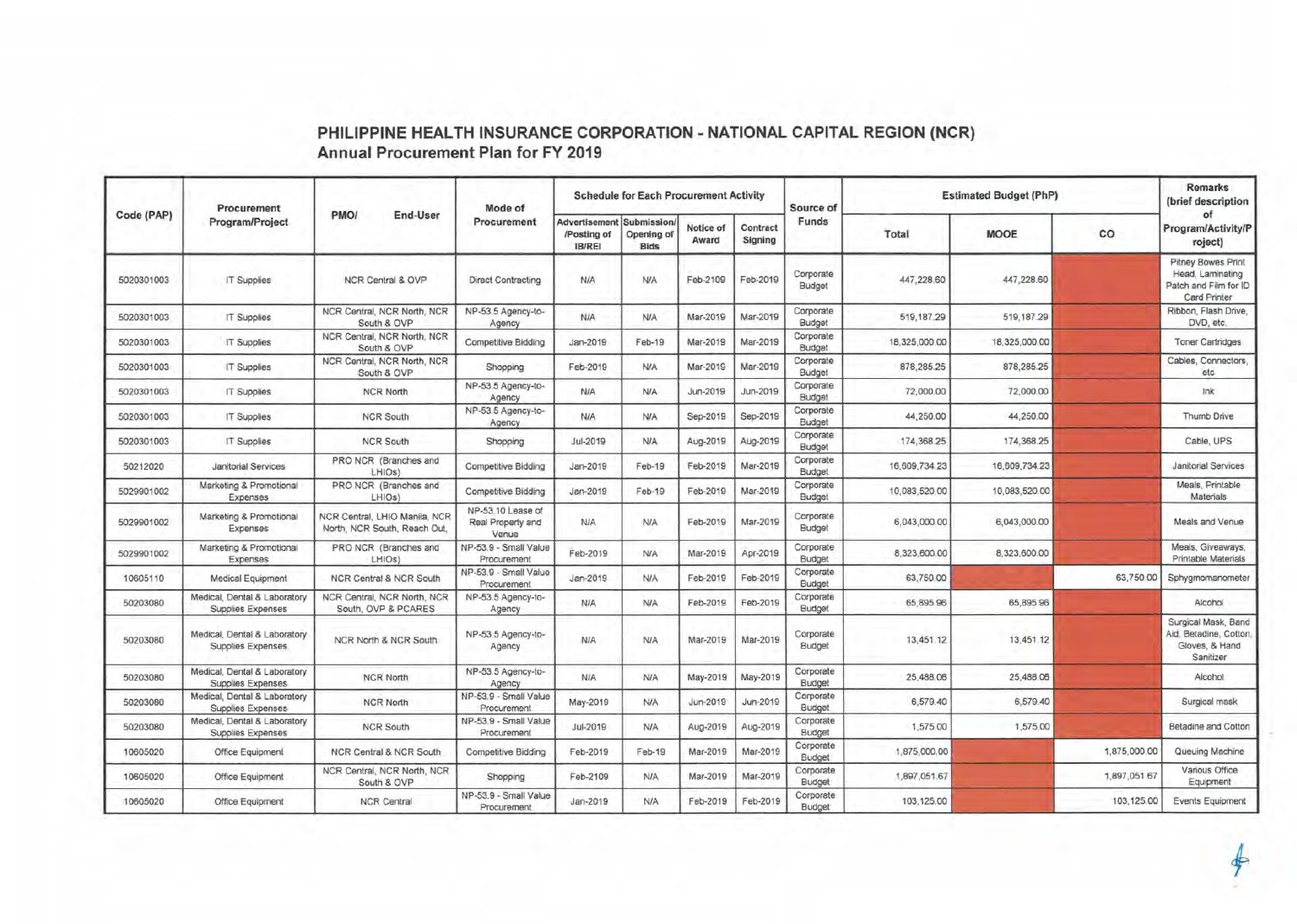|            | Procurement<br>Program/Project                    |                                                               | Mode of                                         |                                                    | <b>Schedule for Each Procurement Activity</b> |                    |                     | Source of           | <b>Estimated Budget (PhP)</b> |               | <b>Remarks</b><br>(brief description |                                                                                 |
|------------|---------------------------------------------------|---------------------------------------------------------------|-------------------------------------------------|----------------------------------------------------|-----------------------------------------------|--------------------|---------------------|---------------------|-------------------------------|---------------|--------------------------------------|---------------------------------------------------------------------------------|
| Code (PAP) |                                                   | PMO/<br>End-User                                              | Procurement                                     | Advertisement Submission/<br>/Posting of<br>IB/REI | Opening of<br><b>Bids</b>                     | Notice of<br>Award | Contract<br>Signing | Funds               | Total                         | <b>MOOE</b>   | co                                   | of<br>Program/Activity/P<br>roject)                                             |
| 5020301003 | <b>IT Supplies</b>                                | NCR Central & OVP                                             | Direct Contracting                              | <b>N/A</b>                                         | <b>N/A</b>                                    | Feb-2109           | Feb-2019            | Corporate<br>Budget | 447,228.60                    | 447,228.60    |                                      | Pitney Bowes Print<br>Head, Laminating<br>Patch and Film for ID<br>Card Printer |
| 5020301003 | <b>IT Supplies</b>                                | NCR Central, NCR North, NCR<br>South & OVP                    | NP-53.5 Agency-to-<br>Agency                    | <b>N/A</b>                                         | <b>N/A</b>                                    | Mar-2019           | Mar-2019            | Corporate<br>Budget | 519,187.29                    | 519, 187.29   |                                      | Ribbon, Flash Drive,<br>DVD, etc.                                               |
| 5020301003 | IT Supplies                                       | NCR Central, NCR North, NCR<br>South & OVP                    | Competitive Bidding                             | Jan-2019                                           | Feb-19                                        | Mar-2019           | Mar-2019            | Corporate<br>Budget | 18,325,000.00                 | 18,325,000.00 |                                      | <b>Toner Cartridges</b>                                                         |
| 5020301003 | <b>IT Supplies</b>                                | NCR Central, NCR North, NCR<br>South & OVP                    | Shopping                                        | Feb-2019                                           | <b>N/A</b>                                    | Mar-2019           | Mar-2019            | Corporate<br>Budget | 878,285.25                    | 878,285.25    |                                      | Cables, Connectors,<br>etc                                                      |
| 5020301003 | IT Supplies                                       | <b>NCR North</b>                                              | NP-53.5 Agency-to-<br>Agency                    | <b>N/A</b>                                         | <b>N/A</b>                                    | Jun-2019           | Jun-2019            | Corporate<br>Budget | 72,000.00                     | 72,000.00     |                                      | Ink                                                                             |
| 5020301003 | IT Supplies                                       | <b>NCR South</b>                                              | NP-53.5 Agency-to-<br>Agency                    | <b>N/A</b>                                         | <b>N/A</b>                                    | Sep-2019           | Sep-2019            | Corporate<br>Budget | 44,250.00                     | 44,250.00     |                                      | Thumb Drive                                                                     |
| 5020301003 | IT Supplies                                       | <b>NCR South</b>                                              | Shopping                                        | Jul-2019                                           | <b>N/A</b>                                    | Aug-2019           | Aug-2019            | Corporate<br>Budget | 174,368.25                    | 174.368.25    |                                      | Cable, UPS                                                                      |
| 50212020   | Janitorial Services                               | PRO NCR (Branches and<br>LHIO <sub>s</sub> )                  | <b>Competitive Bidding</b>                      | Jan-2019                                           | Feb-19                                        | Feb-2019           | Mar-2019            | Corporate<br>Budget | 16,609,734.23                 | 16,609,734.23 |                                      | Janitorial Services                                                             |
| 5029901002 | Marketing & Promotional<br>Expenses               | PRO NCR (Branches and<br>LHIOs)                               | <b>Competitive Bidding</b>                      | Jan-2019                                           | Feb-19                                        | Feb-2019           | Mar-2019            | Corporate<br>Budget | 10,083,520.00                 | 10,083,520.00 |                                      | Meals. Printable<br>Materials                                                   |
| 5029901002 | Marketing & Promotional<br>Expenses               | NCR Central, LHIO Manila, NCR<br>North, NCR South, Reach Out, | NP-53.10 Lease of<br>Real Property and<br>Venue | <b>N/A</b>                                         | <b>N/A</b>                                    | Feb-2019           | Mar-2019            | Corporate<br>Budget | 6,043,000.00                  | 6,043,000.00  |                                      | Meals and Venue                                                                 |
| 5029901002 | Marketing & Promotional<br>Expenses               | PRO NGR (Branches and<br>LHIOs)                               | NP-53.9 - Small Value<br>Procurement            | Feb-2019                                           | N/A                                           | Mar-2019           | Apr-2019            | Corporate<br>Budget | 8,323,600.00                  | 8,323,600.00  |                                      | Meals, Giveaways,<br>Printable Materials                                        |
| 10605110   | <b>Medical Equipment</b>                          | <b>NCR Central &amp; NCR South</b>                            | NP-53.9 - Small Value<br>Procurement            | Jan-2019                                           | <b>N/A</b>                                    | Feb-2019           | Feb-2019            | Corporate<br>Budget | 63,750.00                     |               | 63,750.00                            | Sphygmomanometer                                                                |
| 50203080   | Medical, Dental & Laboratory<br>Supplies Expenses | NCR Central, NCR North, NCR<br>South, OVP & PCARES            | NP-53.5 Agency-to-<br>Agency                    | <b>N/A</b>                                         | <b>N/A</b>                                    | Feb-2019           | Feb-2019            | Corporate<br>Budget | 65,895.96                     | 65,895.96     |                                      | Alcohol                                                                         |
| 50203080   | Medical, Dental & Laboratory<br>Supplies Expenses | NCR North & NCR South                                         | NP-53.5 Agency-to-<br>Agency                    | <b>N/A</b>                                         | <b>N/A</b>                                    | Mar-2019           | Mar-2019            | Corporate<br>Budget | 13,451.12                     | 13,451.12     |                                      | Surgical Mask, Band<br>Aid, Betadine, Cotton<br>Gloves, & Hand<br>Sanitizer     |
| 50203080   | Medical, Dental & Laboratory<br>Supplies Expenses | NCR North                                                     | NP-53.5 Agency-to-<br>Agency                    | <b>N/A</b>                                         | <b>NJA</b>                                    | May-2019           | May-2019            | Corporate<br>Budget | 25,488.06                     | 25,488.06     |                                      | Alcohol.                                                                        |
| 50203080   | Medical, Dental & Laboratory<br>Supplies Expenses | <b>NCR North</b>                                              | NP-53.9 - Small Value<br>Procurement            | May-2019                                           | <b>N/A</b>                                    | Jun-2019           | Jun-2019            | Corporate<br>Budget | 6,579.40                      | 6,579.40      |                                      | Surgical mask                                                                   |
| 50203080   | Medical, Dental & Laboratory<br>Supplies Expenses | <b>NCR South</b>                                              | NP-53.9 - Small Value<br>Procurement            | Jul-2019                                           | N/A                                           | Aug-2019           | Aug-2019            | Corporate<br>Budget | 1,575.00                      | 1,575.00      |                                      | Betadine and Cotton                                                             |
| 10605020   | Office Equipment                                  | <b>NCR Central &amp; NCR South</b>                            | <b>Competitive Bidding</b>                      | Feb-2019                                           | Feb-19                                        | Mar-2019           | Mar-2019            | Corporate<br>Budget | 1,875,000.00                  |               | 1,875,000.00                         | Queuing Machine                                                                 |
| 10605020   | Office Equipment                                  | NCR Central, NCR North, NCR<br>South & OVP                    | Shopping                                        | Feb-2109                                           | N/A                                           | Mar-2019           | Mar-2019            | Corporate<br>Budget | 1,897,051.67                  |               | 1,897,051.67                         | Various Office<br>Equipment                                                     |
| 10605020   | Office Equipment                                  | <b>NCR Central</b>                                            | NP-53.9 - Small Value<br>Procurement            | Jan-2019                                           | <b>N/A</b>                                    | Feb-2019           | Feb-2019            | Corporate<br>Budget | 103,125.00                    |               | 103,125.00                           | Events Equipment                                                                |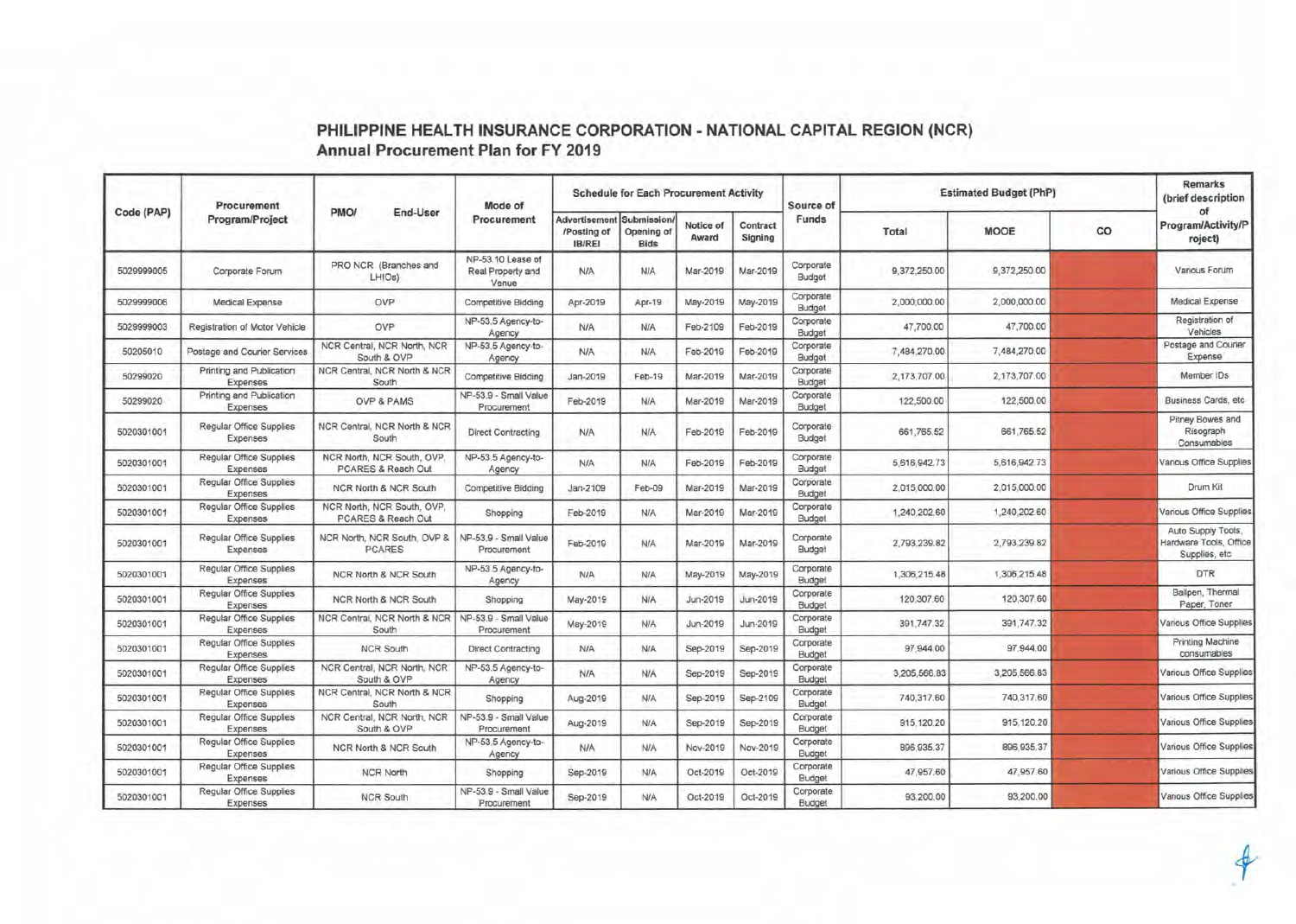|            | Procurement<br>Program/Project                    |                                                  | Mode of                                         |                                               | <b>Schedule for Each Procurement Activity</b>  |                    |                     | Source of           | <b>Estimated Budget (PhP)</b> | <b>Remarks</b><br>(brief description |    |                                                                |
|------------|---------------------------------------------------|--------------------------------------------------|-------------------------------------------------|-----------------------------------------------|------------------------------------------------|--------------------|---------------------|---------------------|-------------------------------|--------------------------------------|----|----------------------------------------------------------------|
| Code (PAP) |                                                   | PMO/<br><b>End-User</b>                          | Procurement                                     | Advertisement<br>/Posting of<br><b>IB/REI</b> | <b>Submission</b><br>Opening of<br><b>Bids</b> | Notice of<br>Award | Contract<br>Signing | Funds               | Total                         | <b>MOOE</b>                          | co | of<br>Program/Activity/P<br>roject)                            |
| 5029999005 | Corporate Forum                                   | PRO NCR (Branches and<br>LHIO <sub>s</sub> )     | NP-53.10 Lease of<br>Real Property and<br>Venue | <b>N/A</b>                                    | <b>N/A</b>                                     | Mar-2019           | Mar-2019            | Corporate<br>Budget | 9,372,250.00                  | 9,372,250.00                         |    | Various Forum                                                  |
| 5029999006 | Medical Expense                                   | OVP                                              | <b>Competitive Bidding</b>                      | Apr-2019                                      | Apr-19                                         | May-2019           | May-2019            | Corporate<br>Budget | 2,000,000.00                  | 2,000,000.00                         |    | Medical Expense                                                |
| 5029999003 | Registration of Motor Vehicle                     | OVP                                              | NP-53.5 Agency-to-<br>Agency                    | N/A                                           | <b>N/A</b>                                     | Feb-2109           | Feb-2019            | Corporate<br>Budget | 47,700.00                     | 47,700.00                            |    | Registration of<br>Vehicles                                    |
| 50205010   | Postage and Courier Services                      | NCR Central, NCR North, NCR<br>South & OVP       | NP-53.5 Agency-to-<br>Agency                    | <b>N/A</b>                                    | <b>N/A</b>                                     | Feb-2019           | Feb-2019            | Corporate<br>Budget | 7,484,270.00                  | 7,484,270.00                         |    | Postage and Courier<br>Expense                                 |
| 50299020   | Printing and Publication<br>Expenses              | NCR Central, NCR North & NCR<br>South            | Competitive Bidding                             | Jan-2019                                      | Feb-19                                         | Mar-2019           | Mar-2019            | Corporate<br>Budget | 2.173,707.00                  | 2,173,707.00                         |    | Member IDs                                                     |
| 50299020   | Printing and Publication<br>Expenses              | OVP & PAMS                                       | NP-53.9 - Small Value<br>Procurement            | Feb-2019                                      | <b>N/A</b>                                     | Mar-2019           | Mar-2019            | Corporate<br>Budget | 122,500.00                    | 122,500.00                           |    | Business Cards, etc.                                           |
| 5020301001 | Regular Office Supplies<br>Expenses               | NCR Central, NCR North & NCR<br>South            | Direct Contracting                              | <b>N/A</b>                                    | N/A                                            | Feb-2019           | Feb-2019            | Corporate<br>Budget | 661,765.52                    | 661,765.52                           |    | Pitney Bowes and<br>Risograph<br>Consumables                   |
| 5020301001 | <b>Reqular Office Supplies</b><br>Expenses        | NCR North, NCR South, OVP.<br>PCARES & Reach Out | NP-53.5 Agency-to-<br>Agency                    | <b>N/A</b>                                    | <b>N/A</b>                                     | Feb-2019           | Feb-2019            | Corporate<br>Budget | 5.616.942.73                  | 5,616,942.73                         |    | Various Office Supplies                                        |
| 5020301001 | <b>Regular Office Supplies</b><br>Expenses        | NCR North & NCR South                            | <b>Competitive Bidding</b>                      | Jan-2109                                      | Feb-09                                         | Mar-2019           | Mar-2019            | Corporate<br>Budget | 2,015,000.00                  | 2,015,000.00                         |    | Drum Kit                                                       |
| 5020301001 | <b>Regular Office Supplies</b><br>Expenses        | NCR North, NCR South, OVP.<br>PCARES & Reach Out | Shopping                                        | Feb-2019                                      | N/A                                            | Mar-2019           | Mar-2019            | Corporate<br>Budget | 1,240,202.60                  | 1,240,202.60                         |    | Various Office Supplies                                        |
| 5020301001 | <b>Regular Office Supplies</b><br><b>Expenses</b> | NCR North, NCR South, OVP &<br><b>PCARES</b>     | NP-53.9 - Small Value<br>Procurement            | Feb-2019                                      | <b>N/A</b>                                     | Mar-2019           | Mar-2019            | Corporate<br>Budget | 2,793,239.82                  | 2,793,239.82                         |    | Auto Supply Tools,<br>Hardware Tools, Office<br>Supplies, etc. |
| 5020301001 | <b>Regular Office Supplies</b><br>Expenses        | NCR North & NCR South                            | NP-53.5 Agency-to-<br>Agency                    | <b>N/A</b>                                    | <b>N/A</b>                                     | May-2019           | May-2019            | Corporate<br>Budget | 1,306,215.48                  | 1,306,215.48                         |    | <b>DTR</b>                                                     |
| 5020301001 | Regular Office Supplies<br>Expenses               | NCR North & NCR South                            | Shopping                                        | May-2019                                      | <b>NJA</b>                                     | Jun-2019           | Jun-2019            | Corporate<br>Budget | 120,307.60                    | 120,307.60                           |    | Ballpen, Thermal<br>Paper, Toner                               |
| 5020301001 | Regular Office Supplies<br>Expenses               | NCR Central, NCR North & NCR<br>South            | NP-53.9 - Small Value<br>Procurement            | May-2019                                      | <b>N/A</b>                                     | Jun-2019           | Jun-2019            | Corporate<br>Budget | 391,747.32                    | 391,747.32                           |    | Various Office Supplies                                        |
| 5020301001 | Regular Office Supplies<br>Expenses               | <b>NCR South</b>                                 | Direct Contracting                              | <b>N/A</b>                                    | <b>N/A</b>                                     | Sep-2019           | Sep-2019            | Corporate<br>Budget | 97,944.00                     | 97,944.00                            |    | Printing Machine<br>consumables                                |
| 5020301001 | Regular Office Supplies<br>Expenses               | NCR Central, NCR North, NCR<br>South & OVP       | NP-53.5 Agency-to-<br>Agency                    | <b>N/A</b>                                    | <b>N/A</b>                                     | Sep-2019           | Sep-2019            | Corporate<br>Budget | 3,205,566.83                  | 3,205,566.83                         |    | <b>/arious Office Supplies</b>                                 |
| 5020301001 | Regular Office Supplies<br>Expenses               | NCR Central, NCR North & NCR<br>South            | Shopping                                        | Aug-2019                                      | <b>N/A</b>                                     | Sep-2019           | Sep-2109            | Corporate<br>Budget | 740,317.60                    | 740,317.60                           |    | <b>/arious Office Supplies</b>                                 |
| 5020301001 | Regular Office Supplies<br>Expenses               | NCR Central, NCR North, NCR<br>South & OVP       | NP-53.9 - Small Value<br>Procurement            | Aug-2019                                      | N/A                                            | Sep-2019           | Sep-2019            | Corporate<br>Budget | 915, 120.20                   | 915.120.20                           |    | <b>Various Office Supplies</b>                                 |
| 5020301001 | Regular Office Supplies<br>Expenses               | NCR North & NCR South                            | NP-53.5 Agency-to-<br>Agency                    | <b>N/A</b>                                    | <b>N/A</b>                                     | Nov-2019           | Nov-2019            | Corporate<br>Budget | 896, 935.37                   | 896.935.37                           |    | Various Office Supplies                                        |
| 5020301001 | Regular Office Supplies<br>Expenses               | <b>NCR North</b>                                 | Shopping                                        | Sep-2019                                      | <b>N/A</b>                                     | Oct-2019           | Oct-2019            | Corporate<br>Budget | 47,957.60                     | 47,957.60                            |    | Various Office Supplies                                        |
| 5020301001 | Regular Office Supplies<br>Expenses               | <b>NCR South</b>                                 | NP-53.9 - Small Value<br>Procurement            | Sep-2019                                      | N/A                                            | Oct-2019           | Oct-2019            | Corporate<br>Budget | 93,200.00                     | 93,200.00                            |    | Various Office Supplies                                        |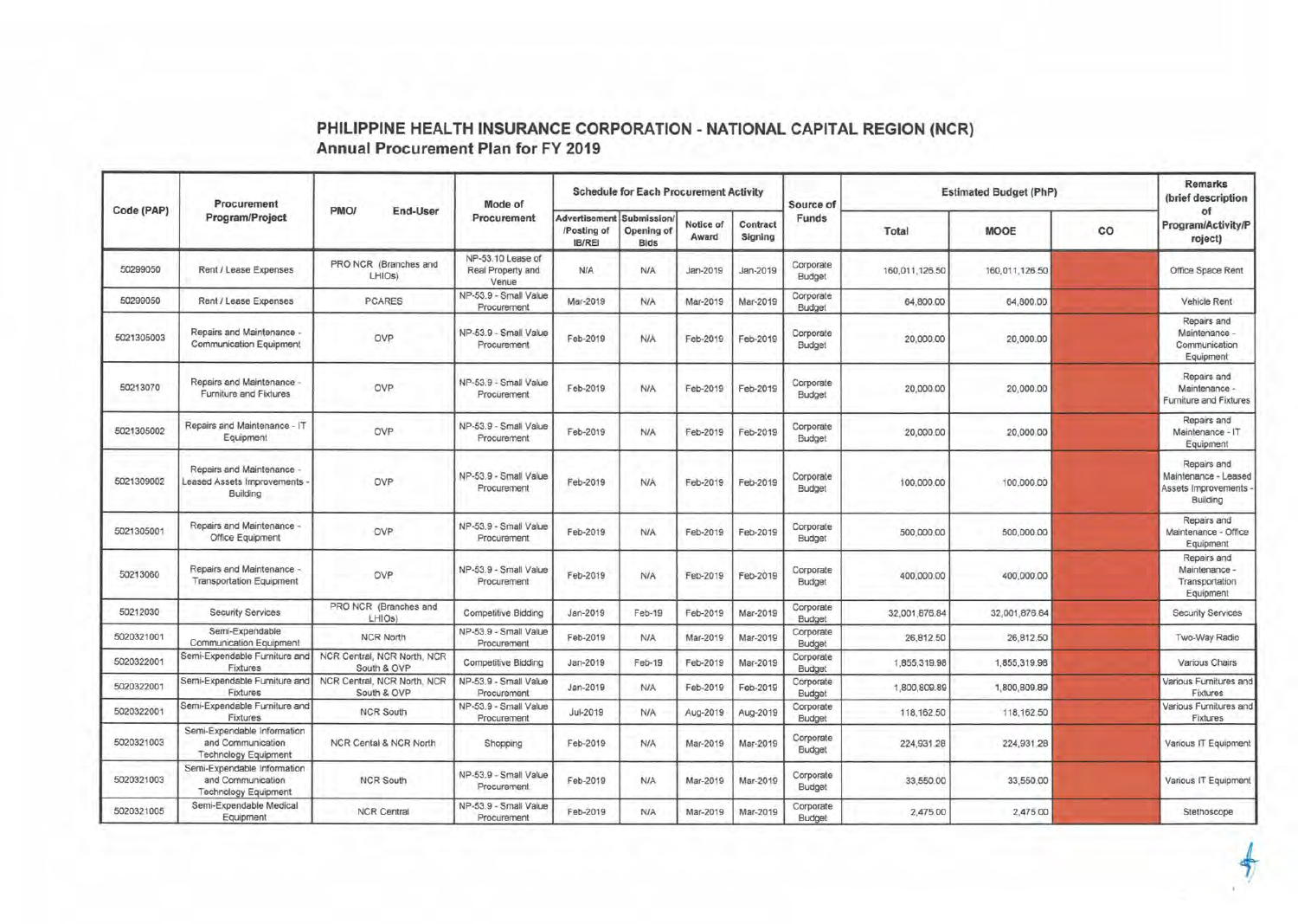|            | Procurement                                                                     |                                            | Mode of                                         |                                               | <b>Schedule for Each Procurement Activity</b> |                    |                     | Source of           | <b>Estimated Budget (PhP)</b> | <b>Remarks</b><br>(brief description |    |                                                                        |
|------------|---------------------------------------------------------------------------------|--------------------------------------------|-------------------------------------------------|-----------------------------------------------|-----------------------------------------------|--------------------|---------------------|---------------------|-------------------------------|--------------------------------------|----|------------------------------------------------------------------------|
| Code (PAP) | Program/Project                                                                 | PMO/<br>End-User                           | Procurement                                     | Advertisement<br>/Posting of<br><b>IB/REI</b> | Submission/<br>Opening of<br><b>Bids</b>      | Notice of<br>Award | Contract<br>Signing | Funds               | Total                         | <b>MOOE</b>                          | co | of<br>Program/Activity/P<br>roject)                                    |
| 50299050   | Rent / Lease Expenses                                                           | PRO NCR (Branches and<br>LHIOs)            | NP-53.10 Lease of<br>Real Property and<br>Venue | <b>N/A</b>                                    | N/A                                           | Jan-2019           | Jan-2019            | Corporate<br>Budget | 160,011,126.50                | 160,011,126.50                       |    | Office Space Rent                                                      |
| 50299050   | Rent / Lease Expenses                                                           | <b>PCARES</b>                              | NP-53.9 - Small Value<br>Procurement            | Mar-2019                                      | N/A                                           | Mar-2019           | Mar-2019            | Corporate<br>Budget | 64,800.00                     | 64,800.00                            |    | Vehicle Rent                                                           |
| 5021305003 | Repairs and Maintenance -<br><b>Communication Equipment</b>                     | OVP                                        | NP-53.9 - Small Value<br>Procurement            | Feb-2019                                      | <b>N/A</b>                                    | Feb-2019           | Feb-2019            | Corporate<br>Budget | 20,000.00                     | 20,000.00                            |    | Repairs and<br>Maintenance -<br>Communication<br>Equipment             |
| 50213070   | Repairs and Maintenance -<br>Furniture and Fixtures                             | OVP                                        | NP-53.9 - Small Value<br>Procurement            | Feb-2019                                      | <b>N/A</b>                                    | Feb-2019           | Feb-2019            | Corporate<br>Budget | 20,000.00                     | 20,000.00                            |    | Repairs and<br>Maintenance<br>Furniture and Fixtures                   |
| 5021305002 | Repairs and Maintenance - IT<br>Equipment                                       | OVP                                        | NP-53.9 - Small Value<br>Procurement            | Feb-2019                                      | <b>N/A</b>                                    | Feb-2019           | Feb-2019            | Corporate<br>Budget | 20,000.00                     | 20,000.00                            |    | Repairs and<br>Maintenance - IT<br>Equipment                           |
| 5021309002 | Repairs and Maintenance -<br>eased Assets Improvements<br>Building              | OVP                                        | NP-53.9 - Small Value<br>Procurement            | Feb-2019                                      | <b>N/A</b>                                    | Feb-2019           | Feb-2019            | Corporate<br>Budget | 100,000.00                    | 100,000.00                           |    | Repairs and<br>Maintenance - Leased<br>Assets Improvements<br>Building |
| 5021305001 | Repairs and Maintenance -<br>Office Equipment                                   | OVP                                        | NP-53.9 - Small Value<br>Procurement            | Feb-2019                                      | <b>N/A</b>                                    | Feb-2019           | Feb-2019            | Corporate<br>Budget | 500,000.00                    | 500,000.00                           |    | Repairs and<br>Maintenance - Office<br>Equipment                       |
| 50213060   | Repairs and Maintenance<br><b>Transportation Equipment</b>                      | OVP                                        | NP-53.9 - Small Value<br>Procurement            | Feb-2019                                      | N/A                                           | Feb-2019           | Feb-2019            | Corporate<br>Budget | 400,000.00                    | 400,000.00                           |    | Repairs and<br>Maintenance -<br>Transportation<br>Equipment            |
| 50212030   | <b>Security Services</b>                                                        | PRO NCR (Branches and<br>LHIOs)            | <b>Competitive Bidding</b>                      | Jan-2019                                      | Feb-19                                        | Feb-2019           | Mar-2019            | Corporate<br>Budget | 32,001,876.84                 | 32,001,876.84                        |    | <b>Security Services</b>                                               |
| 5020321001 | Semi-Expendable<br><b>Communication Equipment</b>                               | <b>NCR North</b>                           | NP-53.9 - Small Value<br>Procurement            | Feb-2019                                      | <b>N/A</b>                                    | Mar-2019           | Mar-2019            | Corporate<br>Budget | 26,812.50                     | 26,812.50                            |    | Two-Way Radio                                                          |
| 5020322001 | Semi-Expendable Furniture and<br>Fixtures                                       | NCR Central, NCR North, NCR<br>South & OVP | Competitive Bidding                             | Jan-2019                                      | Feb-19                                        | Feb-2019           | Mar-2019            | Corporate<br>Budget | 1,855,319.98                  | 1,855,319.98                         |    | Various Chairs                                                         |
| 5020322001 | Semi-Expendable Furniture and<br>Fixtures                                       | NCR Central, NCR North, NCR<br>South & OVP | NP-53.9 - Small Value<br>Procurement            | Jan-2019                                      | N/A                                           | Feb-2019           | Feb-2019            | Corporate<br>Budget | 1,800,809.89                  | 1,800,809.89                         |    | Various Furnitures and<br>Fixtures                                     |
| 5020322001 | Semi-Expendable Furniture and<br>Fixtures                                       | <b>NCR South</b>                           | NP-53.9 - Small Value<br>Procurement            | Jul-2019                                      | N/A                                           | Aug-2019           | Aug-2019            | Corporate<br>Budget | 118, 162.50                   | 118, 162.50                          |    | Various Furnitures and<br>Fixtures                                     |
| 5020321003 | Semi-Expendable Information<br>and Communication<br><b>Technology Equipment</b> | NCR Cental & NCR North                     | Shopping                                        | Feb-2019                                      | <b>N/A</b>                                    | Mar-2019           | Mar-2019            | Corporate<br>Budget | 224,931.28                    | 224,931.28                           |    | Various IT Equipment                                                   |
| 5020321003 | Semi-Expendable Information<br>and Communication<br><b>Technology Equipment</b> | <b>NCR South</b>                           | NP-53.9 - Small Value<br>Procurement            | Feb-2019                                      | <b>N/A</b>                                    | Mar-2019           | Mar-2019            | Corporate<br>Budget | 33,550.00                     | 33,550.00                            |    | Various IT Equipment                                                   |
| 5020321005 | Semi-Expendable Medical<br>Equipment                                            | <b>NCR Central</b>                         | NP-53.9 - Small Value<br>Procurement            | Feb-2019                                      | <b>N/A</b>                                    | Mar-2019           | Mar-2019            | Corporate<br>Budget | 2,475.00                      | 2,475.00                             |    | Stethoscope                                                            |